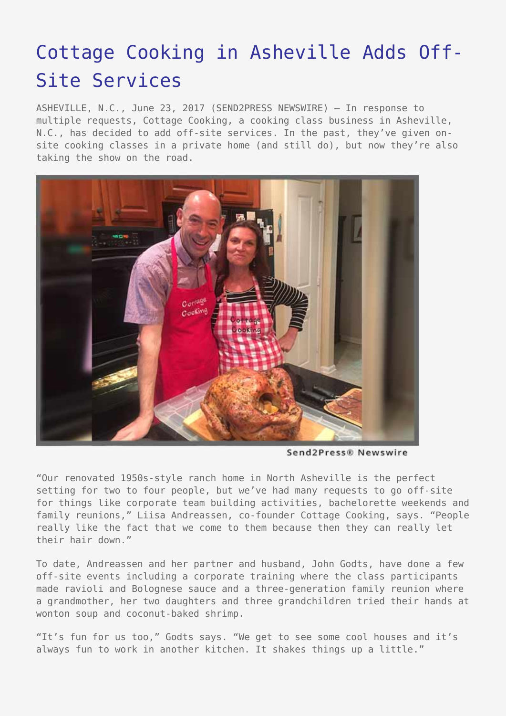## [Cottage Cooking in Asheville Adds Off-](https://www.send2press.com/wire/cottage-cooking-in-asheville-adds-off-site-services/)[Site Services](https://www.send2press.com/wire/cottage-cooking-in-asheville-adds-off-site-services/)

ASHEVILLE, N.C., June 23, 2017 (SEND2PRESS NEWSWIRE) — In response to multiple requests, Cottage Cooking, a cooking class business in Asheville, N.C., has decided to add off-site services. In the past, they've given onsite cooking classes in a private home (and still do), but now they're also taking the show on the road.



Send2Press® Newswire

"Our renovated 1950s-style ranch home in North Asheville is the perfect setting for two to four people, but we've had many requests to go off-site for things like corporate team building activities, bachelorette weekends and family reunions," Liisa Andreassen, co-founder Cottage Cooking, says. "People really like the fact that we come to them because then they can really let their hair down."

To date, Andreassen and her partner and husband, John Godts, have done a few off-site events including a corporate training where the class participants made ravioli and Bolognese sauce and a three-generation family reunion where a grandmother, her two daughters and three grandchildren tried their hands at wonton soup and coconut-baked shrimp.

"It's fun for us too," Godts says. "We get to see some cool houses and it's always fun to work in another kitchen. It shakes things up a little."